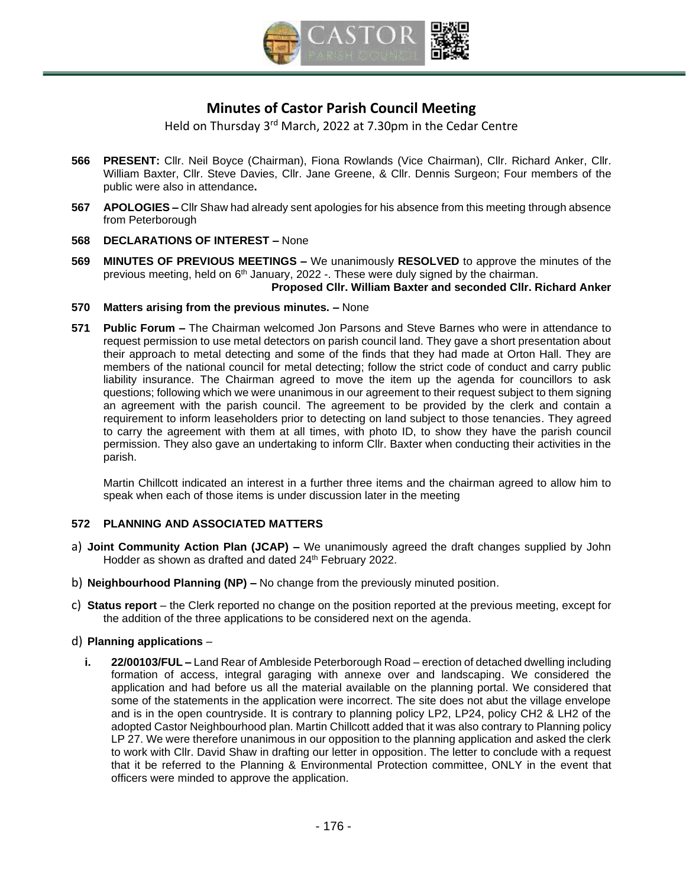

# **Minutes of Castor Parish Council Meeting**

Held on Thursday 3<sup>rd</sup> March, 2022 at 7.30pm in the Cedar Centre

- **566 PRESENT:** Cllr. Neil Boyce (Chairman), Fiona Rowlands (Vice Chairman), Cllr. Richard Anker, Cllr. William Baxter, Cllr. Steve Davies, Cllr. Jane Greene, & Cllr. Dennis Surgeon; Four members of the public were also in attendance**.**
- **567 APOLOGIES –** Cllr Shaw had already sent apologies for his absence from this meeting through absence from Peterborough
- **568 DECLARATIONS OF INTEREST –** None
- **569 [MINUTES OF PREVIOUS MEETINGS](https://s3-eu-west-1.amazonaws.com/logs.omnibuilder/598d0297-cee8-4444-906d-0399dbc80ec0/2c221843-6c8c-4409-91b4-588eca7f82e9.pdf) –** We unanimously **RESOLVED** to approve the minutes of the previous meeting, held on 6<sup>th</sup> January, 2022 -. These were duly signed by the chairman. **Proposed Cllr. William Baxter and seconded Cllr. Richard Anker**
- **570 Matters arising from the previous minutes. –** None
- **571 Public Forum –** The Chairman welcomed Jon Parsons and Steve Barnes who were in attendance to request permission to use metal detectors on parish council land. They gave a short presentation about their approach to metal detecting and some of the finds that they had made at Orton Hall. They are members of the national council for metal detecting; follow the strict code of conduct and carry public liability insurance. The Chairman agreed to move the item up the agenda for councillors to ask questions; following which we were unanimous in our agreement to their request subject to them signing an agreement with the parish council. The agreement to be provided by the clerk and contain a requirement to inform leaseholders prior to detecting on land subject to those tenancies. They agreed to carry the agreement with them at all times, with photo ID, to show they have the parish council permission. They also gave an undertaking to inform Cllr. Baxter when conducting their activities in the parish.

Martin Chillcott indicated an interest in a further three items and the chairman agreed to allow him to speak when each of those items is under discussion later in the meeting

## **572 PLANNING AND ASSOCIATED MATTERS**

- a) **Joint Community Action Plan (JCAP) –** We unanimously agreed the draft changes supplied by John Hodder as shown as drafted and dated 24th February 2022.
- b) **Neighbourhood Planning (NP) –** No change from the previously minuted position.
- c) **Status report** the Clerk reported no change on the position reported at the previous meeting, except for the addition of the three applications to be considered next on the agenda.

## d) **Planning applications** –

**i. 22/00103/FUL –** Land Rear of Ambleside Peterborough Road – erection of detached dwelling including formation of access, integral garaging with annexe over and landscaping. We considered the application and had before us all the material available on the planning portal. We considered that some of the statements in the application were incorrect. The site does not abut the village envelope and is in the open countryside. It is contrary to planning policy LP2, LP24, policy CH2 & LH2 of the adopted Castor Neighbourhood plan. Martin Chillcott added that it was also contrary to Planning policy LP 27. We were therefore unanimous in our opposition to the planning application and asked the clerk to work with Cllr. David Shaw in drafting our letter in opposition. The letter to conclude with a request that it be referred to the Planning & Environmental Protection committee, ONLY in the event that officers were minded to approve the application.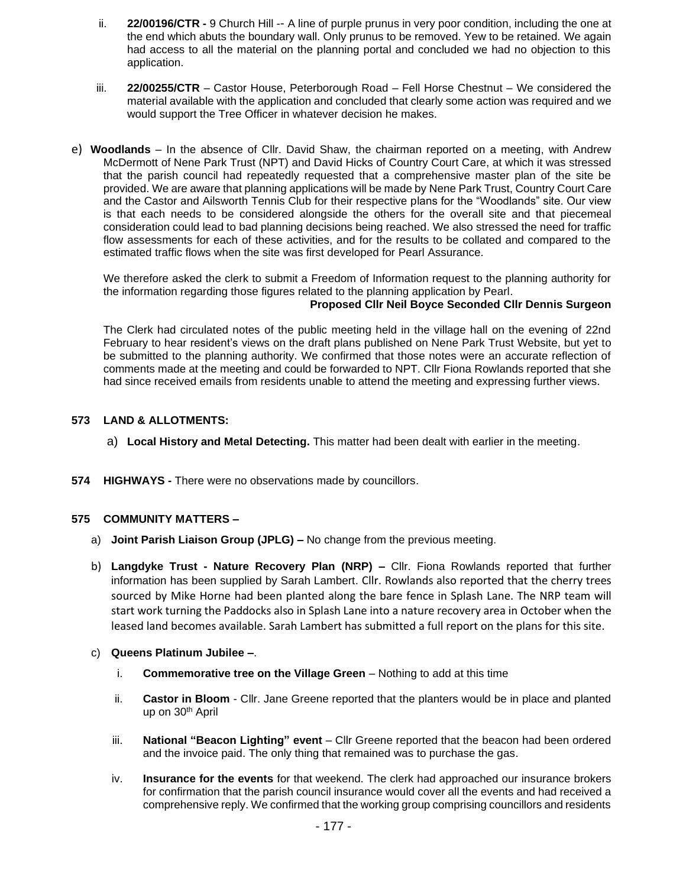- ii. **22/00196/CTR -** 9 Church Hill -- A line of purple prunus in very poor condition, including the one at the end which abuts the boundary wall. Only prunus to be removed. Yew to be retained. We again had access to all the material on the planning portal and concluded we had no objection to this application.
- iii. **22/00255/CTR** Castor House, Peterborough Road Fell Horse Chestnut We considered the material available with the application and concluded that clearly some action was required and we would support the Tree Officer in whatever decision he makes.
- e) **Woodlands** In the absence of Cllr. David Shaw, the chairman reported on a meeting, with Andrew McDermott of Nene Park Trust (NPT) and David Hicks of Country Court Care, at which it was stressed that the parish council had repeatedly requested that a comprehensive master plan of the site be provided. We are aware that planning applications will be made by Nene Park Trust, Country Court Care and the Castor and Ailsworth Tennis Club for their respective plans for the "Woodlands" site. Our view is that each needs to be considered alongside the others for the overall site and that piecemeal consideration could lead to bad planning decisions being reached. We also stressed the need for traffic flow assessments for each of these activities, and for the results to be collated and compared to the estimated traffic flows when the site was first developed for Pearl Assurance.

We therefore asked the clerk to submit a Freedom of Information request to the planning authority for the information regarding those figures related to the planning application by Pearl. **Proposed Cllr Neil Boyce Seconded Cllr Dennis Surgeon**

The Clerk had circulated notes of the public meeting held in the village hall on the evening of 22nd February to hear resident's views on the draft plans published on Nene Park Trust Website, but yet to be submitted to the planning authority. We confirmed that those notes were an accurate reflection of comments made at the meeting and could be forwarded to NPT. Cllr Fiona Rowlands reported that she had since received emails from residents unable to attend the meeting and expressing further views.

## **573 LAND & ALLOTMENTS:**

- a) **Local History and Metal Detecting.** This matter had been dealt with earlier in the meeting.
- **574 HIGHWAYS -** There were no observations made by councillors.

## **575 COMMUNITY MATTERS –**

- a) **Joint Parish Liaison Group (JPLG) –** No change from the previous meeting.
- b) **Langdyke Trust - Nature Recovery Plan (NRP) –** Cllr. Fiona Rowlands reported that further information has been supplied by Sarah Lambert. Cllr. Rowlands also reported that the cherry trees sourced by Mike Horne had been planted along the bare fence in Splash Lane. The NRP team will start work turning the Paddocks also in Splash Lane into a nature recovery area in October when the leased land becomes available. Sarah Lambert has submitted a full report on the plans for this site.
- c) **Queens Platinum Jubilee –**.
	- i. **Commemorative tree on the Village Green** Nothing to add at this time
	- ii. **Castor in Bloom** Cllr. Jane Greene reported that the planters would be in place and planted up on 30<sup>th</sup> April
	- iii. **National "Beacon Lighting" event** Cllr Greene reported that the beacon had been ordered and the invoice paid. The only thing that remained was to purchase the gas.
	- iv. **Insurance for the events** for that weekend. The clerk had approached our insurance brokers for confirmation that the parish council insurance would cover all the events and had received a comprehensive reply. We confirmed that the working group comprising councillors and residents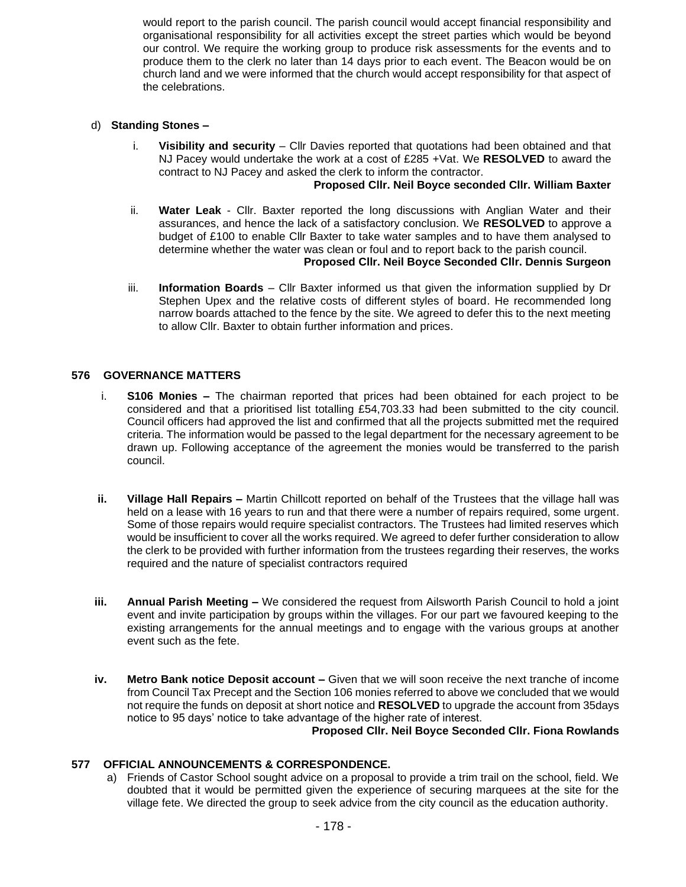would report to the parish council. The parish council would accept financial responsibility and organisational responsibility for all activities except the street parties which would be beyond our control. We require the working group to produce risk assessments for the events and to produce them to the clerk no later than 14 days prior to each event. The Beacon would be on church land and we were informed that the church would accept responsibility for that aspect of the celebrations.

#### d) **Standing Stones –**

i. **Visibility and security** – Cllr Davies reported that quotations had been obtained and that NJ Pacey would undertake the work at a cost of £285 +Vat. We **RESOLVED** to award the contract to NJ Pacey and asked the clerk to inform the contractor.

#### **Proposed Cllr. Neil Boyce seconded Cllr. William Baxter**

- ii. **Water Leak** Cllr. Baxter reported the long discussions with Anglian Water and their assurances, and hence the lack of a satisfactory conclusion. We **RESOLVED** to approve a budget of £100 to enable Cllr Baxter to take water samples and to have them analysed to determine whether the water was clean or foul and to report back to the parish council. **Proposed Cllr. Neil Boyce Seconded Cllr. Dennis Surgeon**
- iii. **Information Boards** Cllr Baxter informed us that given the information supplied by Dr Stephen Upex and the relative costs of different styles of board. He recommended long narrow boards attached to the fence by the site. We agreed to defer this to the next meeting to allow Cllr. Baxter to obtain further information and prices.

## **576 GOVERNANCE MATTERS**

- i. **S106 Monies –** The chairman reported that prices had been obtained for each project to be considered and that a prioritised list totalling £54,703.33 had been submitted to the city council. Council officers had approved the list and confirmed that all the projects submitted met the required criteria. The information would be passed to the legal department for the necessary agreement to be drawn up. Following acceptance of the agreement the monies would be transferred to the parish council.
- **ii. Village Hall Repairs –** Martin Chillcott reported on behalf of the Trustees that the village hall was held on a lease with 16 years to run and that there were a number of repairs required, some urgent. Some of those repairs would require specialist contractors. The Trustees had limited reserves which would be insufficient to cover all the works required. We agreed to defer further consideration to allow the clerk to be provided with further information from the trustees regarding their reserves, the works required and the nature of specialist contractors required
- **iii. Annual Parish Meeting –** We considered the request from Ailsworth Parish Council to hold a joint event and invite participation by groups within the villages. For our part we favoured keeping to the existing arrangements for the annual meetings and to engage with the various groups at another event such as the fete.
- **iv. Metro Bank notice Deposit account –** Given that we will soon receive the next tranche of income from Council Tax Precept and the Section 106 monies referred to above we concluded that we would not require the funds on deposit at short notice and **RESOLVED** to upgrade the account from 35days notice to 95 days' notice to take advantage of the higher rate of interest.

**Proposed Cllr. Neil Boyce Seconded Cllr. Fiona Rowlands**

#### **577 OFFICIAL ANNOUNCEMENTS & CORRESPONDENCE.**

a) Friends of Castor School sought advice on a proposal to provide a trim trail on the school, field. We doubted that it would be permitted given the experience of securing marquees at the site for the village fete. We directed the group to seek advice from the city council as the education authority.